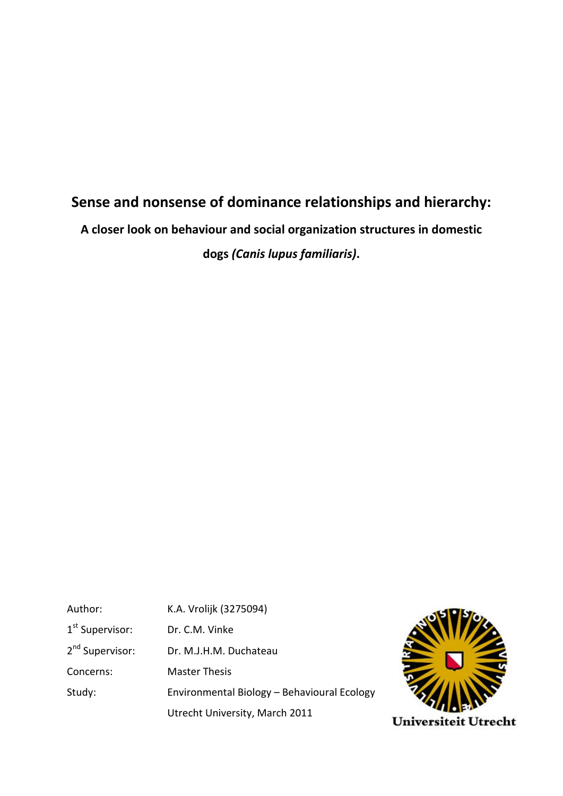# **Sense and nonsense of dominance relationships and hierarchy:**

**A closer look on behaviour and social organization structures in domestic** 

**dogs** *(Canis lupus familiaris)***.**

Author: K.A. Vrolijk (3275094) 1<sup>st</sup> Supervisor: Dr. C.M. Vinke 2<sup>nd</sup> Supervisor: Dr. M.J.H.M. Duchateau Concerns: Master Thesis Study: Environmental Biology – Behavioural Ecology Utrecht University, March 2011

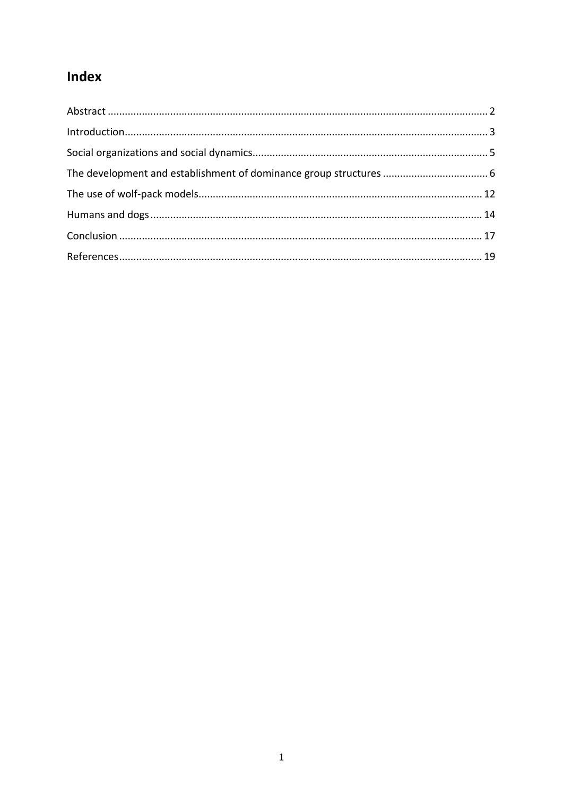# Index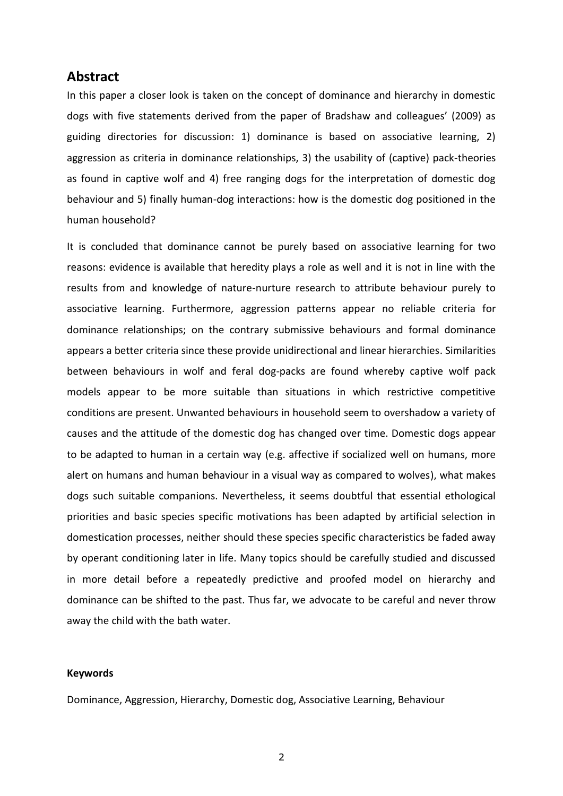## <span id="page-2-0"></span>**Abstract**

In this paper a closer look is taken on the concept of dominance and hierarchy in domestic dogs with five statements derived from the paper of Bradshaw and colleagues' (2009) as guiding directories for discussion: 1) dominance is based on associative learning, 2) aggression as criteria in dominance relationships, 3) the usability of (captive) pack-theories as found in captive wolf and 4) free ranging dogs for the interpretation of domestic dog behaviour and 5) finally human-dog interactions: how is the domestic dog positioned in the human household?

It is concluded that dominance cannot be purely based on associative learning for two reasons: evidence is available that heredity plays a role as well and it is not in line with the results from and knowledge of nature-nurture research to attribute behaviour purely to associative learning. Furthermore, aggression patterns appear no reliable criteria for dominance relationships; on the contrary submissive behaviours and formal dominance appears a better criteria since these provide unidirectional and linear hierarchies. Similarities between behaviours in wolf and feral dog-packs are found whereby captive wolf pack models appear to be more suitable than situations in which restrictive competitive conditions are present. Unwanted behaviours in household seem to overshadow a variety of causes and the attitude of the domestic dog has changed over time. Domestic dogs appear to be adapted to human in a certain way (e.g. affective if socialized well on humans, more alert on humans and human behaviour in a visual way as compared to wolves), what makes dogs such suitable companions. Nevertheless, it seems doubtful that essential ethological priorities and basic species specific motivations has been adapted by artificial selection in domestication processes, neither should these species specific characteristics be faded away by operant conditioning later in life. Many topics should be carefully studied and discussed in more detail before a repeatedly predictive and proofed model on hierarchy and dominance can be shifted to the past. Thus far, we advocate to be careful and never throw away the child with the bath water.

#### **Keywords**

Dominance, Aggression, Hierarchy, Domestic dog, Associative Learning, Behaviour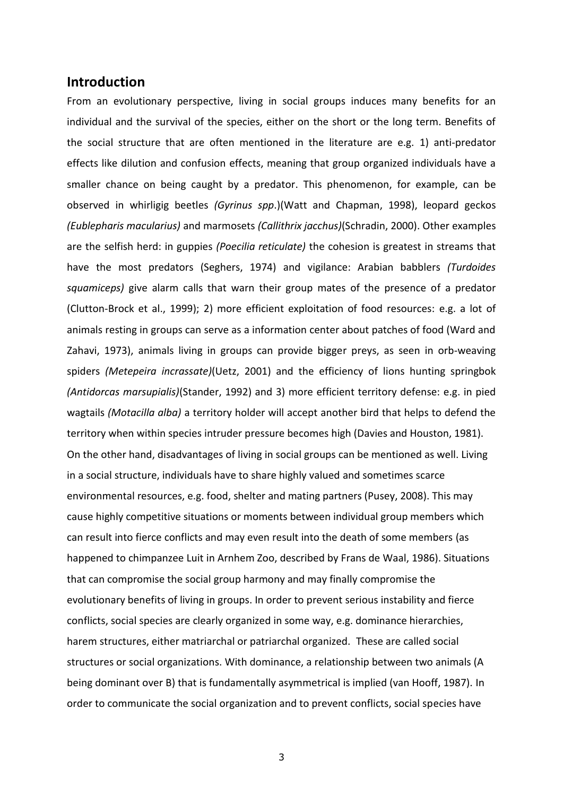### <span id="page-3-0"></span>**Introduction**

From an evolutionary perspective, living in social groups induces many benefits for an individual and the survival of the species, either on the short or the long term. Benefits of the social structure that are often mentioned in the literature are e.g. 1) anti-predator effects like dilution and confusion effects, meaning that group organized individuals have a smaller chance on being caught by a predator. This phenomenon, for example, can be observed in whirligig beetles *(Gyrinus spp*.)(Watt and Chapman, 1998), leopard geckos *(Eublepharis macularius)* and marmosets *(Callithrix jacchus)*(Schradin, 2000). Other examples are the selfish herd: in guppies *(Poecilia reticulate)* the cohesion is greatest in streams that have the most predators (Seghers, 1974) and vigilance: Arabian babblers *(Turdoides squamiceps)* give alarm calls that warn their group mates of the presence of a predator (Clutton-Brock et al., 1999); 2) more efficient exploitation of food resources: e.g. a lot of animals resting in groups can serve as a information center about patches of food (Ward and Zahavi, 1973), animals living in groups can provide bigger preys, as seen in orb-weaving spiders *(Metepeira incrassate)*(Uetz, 2001) and the efficiency of lions hunting springbok *(Antidorcas marsupialis)*(Stander, 1992) and 3) more efficient territory defense: e.g. in pied wagtails *(Motacilla alba)* a territory holder will accept another bird that helps to defend the territory when within species intruder pressure becomes high (Davies and Houston, 1981). On the other hand, disadvantages of living in social groups can be mentioned as well. Living in a social structure, individuals have to share highly valued and sometimes scarce environmental resources, e.g. food, shelter and mating partners (Pusey, 2008). This may cause highly competitive situations or moments between individual group members which can result into fierce conflicts and may even result into the death of some members (as happened to chimpanzee Luit in Arnhem Zoo, described by Frans de Waal, 1986). Situations that can compromise the social group harmony and may finally compromise the evolutionary benefits of living in groups. In order to prevent serious instability and fierce conflicts, social species are clearly organized in some way, e.g. dominance hierarchies, harem structures, either matriarchal or patriarchal organized. These are called social structures or social organizations. With dominance, a relationship between two animals (A being dominant over B) that is fundamentally asymmetrical is implied (van Hooff, 1987). In order to communicate the social organization and to prevent conflicts, social species have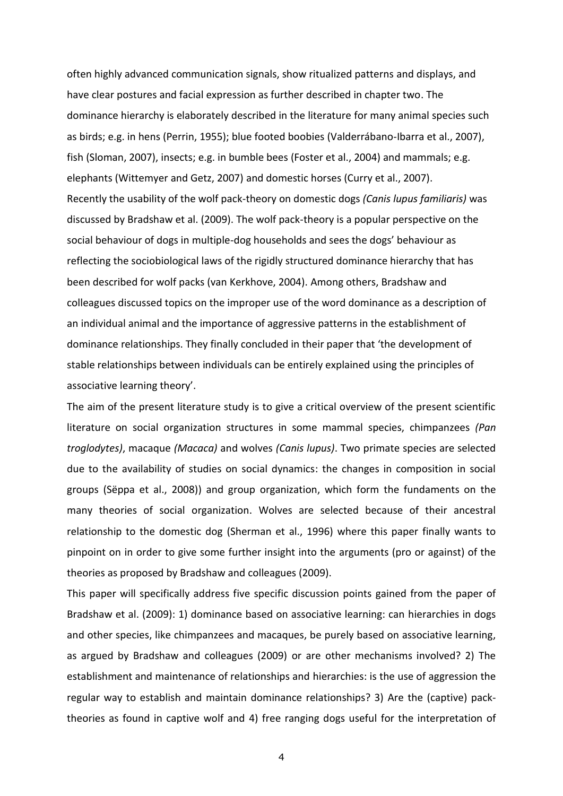often highly advanced communication signals, show ritualized patterns and displays, and have clear postures and facial expression as further described in chapter two. The dominance hierarchy is elaborately described in the literature for many animal species such as birds; e.g. in hens (Perrin, 1955); blue footed boobies (Valderrábano-Ibarra et al., 2007), fish (Sloman, 2007), insects; e.g. in bumble bees (Foster et al., 2004) and mammals; e.g. elephants (Wittemyer and Getz, 2007) and domestic horses (Curry et al., 2007). Recently the usability of the wolf pack-theory on domestic dogs *(Canis lupus familiaris)* was discussed by Bradshaw et al. (2009). The wolf pack-theory is a popular perspective on the social behaviour of dogs in multiple-dog households and sees the dogs' behaviour as reflecting the sociobiological laws of the rigidly structured dominance hierarchy that has been described for wolf packs (van Kerkhove, 2004). Among others, Bradshaw and colleagues discussed topics on the improper use of the word dominance as a description of an individual animal and the importance of aggressive patterns in the establishment of dominance relationships. They finally concluded in their paper that 'the development of stable relationships between individuals can be entirely explained using the principles of associative learning theory'.

The aim of the present literature study is to give a critical overview of the present scientific literature on social organization structures in some mammal species, chimpanzees *(Pan troglodytes)*, macaque *(Macaca)* and wolves *(Canis lupus)*. Two primate species are selected due to the availability of studies on social dynamics: the changes in composition in social groups (Sëppa et al., 2008)) and group organization, which form the fundaments on the many theories of social organization. Wolves are selected because of their ancestral relationship to the domestic dog (Sherman et al., 1996) where this paper finally wants to pinpoint on in order to give some further insight into the arguments (pro or against) of the theories as proposed by Bradshaw and colleagues (2009).

This paper will specifically address five specific discussion points gained from the paper of Bradshaw et al. (2009): 1) dominance based on associative learning: can hierarchies in dogs and other species, like chimpanzees and macaques, be purely based on associative learning, as argued by Bradshaw and colleagues (2009) or are other mechanisms involved? 2) The establishment and maintenance of relationships and hierarchies: is the use of aggression the regular way to establish and maintain dominance relationships? 3) Are the (captive) packtheories as found in captive wolf and 4) free ranging dogs useful for the interpretation of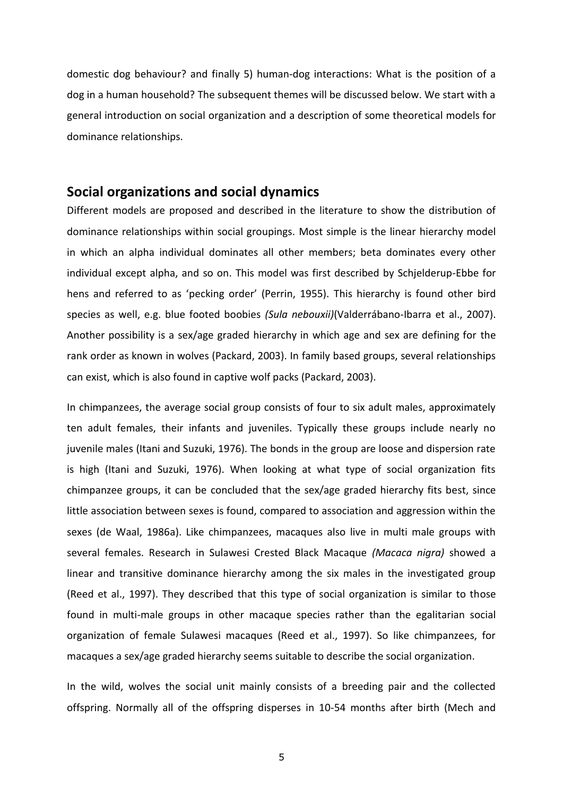domestic dog behaviour? and finally 5) human-dog interactions: What is the position of a dog in a human household? The subsequent themes will be discussed below. We start with a general introduction on social organization and a description of some theoretical models for dominance relationships.

## <span id="page-5-0"></span>**Social organizations and social dynamics**

Different models are proposed and described in the literature to show the distribution of dominance relationships within social groupings. Most simple is the linear hierarchy model in which an alpha individual dominates all other members; beta dominates every other individual except alpha, and so on. This model was first described by Schjelderup-Ebbe for hens and referred to as 'pecking order' (Perrin, 1955). This hierarchy is found other bird species as well, e.g. blue footed boobies *(Sula nebouxii)*(Valderrábano-Ibarra et al., 2007). Another possibility is a sex/age graded hierarchy in which age and sex are defining for the rank order as known in wolves (Packard, 2003). In family based groups, several relationships can exist, which is also found in captive wolf packs (Packard, 2003).

In chimpanzees, the average social group consists of four to six adult males, approximately ten adult females, their infants and juveniles. Typically these groups include nearly no juvenile males (Itani and Suzuki, 1976). The bonds in the group are loose and dispersion rate is high (Itani and Suzuki, 1976). When looking at what type of social organization fits chimpanzee groups, it can be concluded that the sex/age graded hierarchy fits best, since little association between sexes is found, compared to association and aggression within the sexes (de Waal, 1986a). Like chimpanzees, macaques also live in multi male groups with several females. Research in Sulawesi Crested Black Macaque *(Macaca nigra)* showed a linear and transitive dominance hierarchy among the six males in the investigated group (Reed et al., 1997). They described that this type of social organization is similar to those found in multi-male groups in other macaque species rather than the egalitarian social organization of female Sulawesi macaques (Reed et al., 1997). So like chimpanzees, for macaques a sex/age graded hierarchy seems suitable to describe the social organization.

In the wild, wolves the social unit mainly consists of a breeding pair and the collected offspring. Normally all of the offspring disperses in 10-54 months after birth (Mech and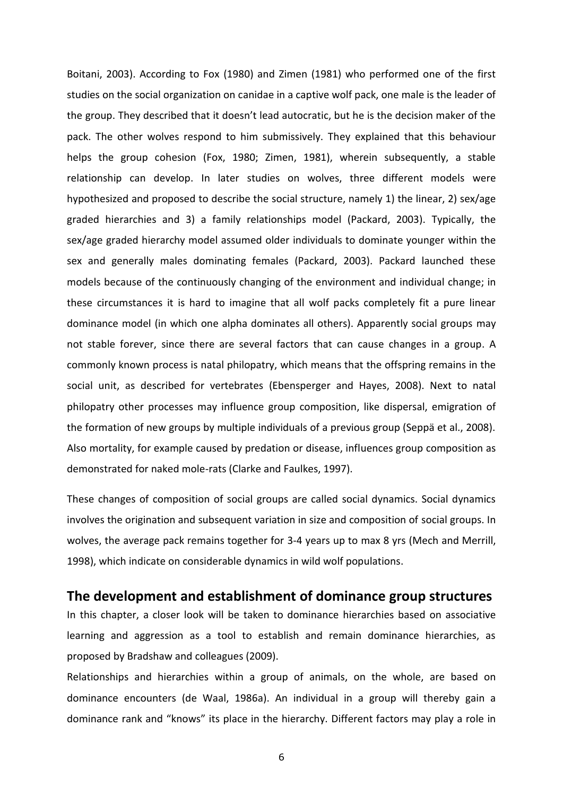Boitani, 2003). According to Fox (1980) and Zimen (1981) who performed one of the first studies on the social organization on canidae in a captive wolf pack, one male is the leader of the group. They described that it doesn't lead autocratic, but he is the decision maker of the pack. The other wolves respond to him submissively. They explained that this behaviour helps the group cohesion (Fox, 1980; Zimen, 1981), wherein subsequently, a stable relationship can develop. In later studies on wolves, three different models were hypothesized and proposed to describe the social structure, namely 1) the linear, 2) sex/age graded hierarchies and 3) a family relationships model (Packard, 2003). Typically, the sex/age graded hierarchy model assumed older individuals to dominate younger within the sex and generally males dominating females (Packard, 2003). Packard launched these models because of the continuously changing of the environment and individual change; in these circumstances it is hard to imagine that all wolf packs completely fit a pure linear dominance model (in which one alpha dominates all others). Apparently social groups may not stable forever, since there are several factors that can cause changes in a group. A commonly known process is natal philopatry, which means that the offspring remains in the social unit, as described for vertebrates (Ebensperger and Hayes, 2008). Next to natal philopatry other processes may influence group composition, like dispersal, emigration of the formation of new groups by multiple individuals of a previous group (Seppä et al., 2008). Also mortality, for example caused by predation or disease, influences group composition as demonstrated for naked mole-rats (Clarke and Faulkes, 1997).

These changes of composition of social groups are called social dynamics. Social dynamics involves the origination and subsequent variation in size and composition of social groups. In wolves, the average pack remains together for 3-4 years up to max 8 yrs (Mech and Merrill, 1998), which indicate on considerable dynamics in wild wolf populations.

### <span id="page-6-0"></span>**The development and establishment of dominance group structures**

In this chapter, a closer look will be taken to dominance hierarchies based on associative learning and aggression as a tool to establish and remain dominance hierarchies, as proposed by Bradshaw and colleagues (2009).

Relationships and hierarchies within a group of animals, on the whole, are based on dominance encounters (de Waal, 1986a). An individual in a group will thereby gain a dominance rank and "knows" its place in the hierarchy. Different factors may play a role in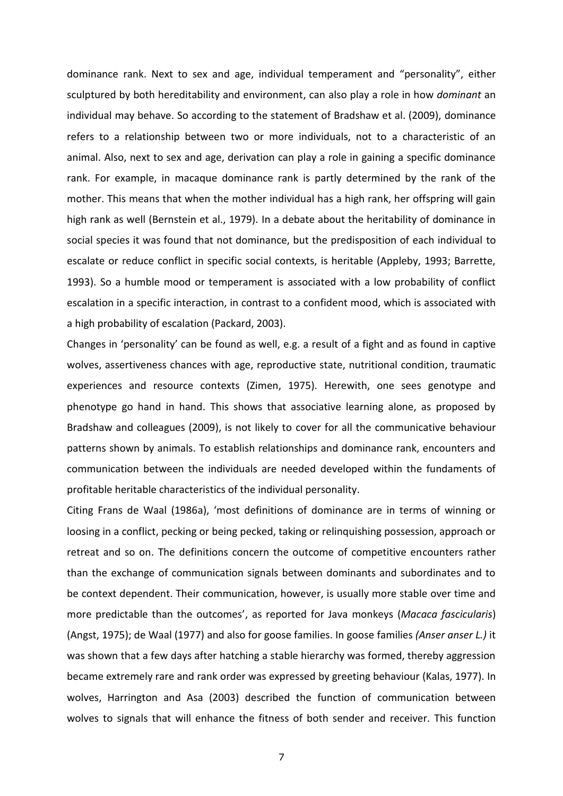dominance rank. Next to sex and age, individual temperament and "personality", either sculptured by both hereditability and environment, can also play a role in how *dominant* an individual may behave. So according to the statement of Bradshaw et al. (2009), dominance refers to a relationship between two or more individuals, not to a characteristic of an animal. Also, next to sex and age, derivation can play a role in gaining a specific dominance rank. For example, in macaque dominance rank is partly determined by the rank of the mother. This means that when the mother individual has a high rank, her offspring will gain high rank as well (Bernstein et al., 1979). In a debate about the heritability of dominance in social species it was found that not dominance, but the predisposition of each individual to escalate or reduce conflict in specific social contexts, is heritable (Appleby, 1993; Barrette, 1993). So a humble mood or temperament is associated with a low probability of conflict escalation in a specific interaction, in contrast to a confident mood, which is associated with a high probability of escalation (Packard, 2003).

Changes in 'personality' can be found as well, e.g. a result of a fight and as found in captive wolves, assertiveness chances with age, reproductive state, nutritional condition, traumatic experiences and resource contexts (Zimen, 1975). Herewith, one sees genotype and phenotype go hand in hand. This shows that associative learning alone, as proposed by Bradshaw and colleagues (2009), is not likely to cover for all the communicative behaviour patterns shown by animals. To establish relationships and dominance rank, encounters and communication between the individuals are needed developed within the fundaments of profitable heritable characteristics of the individual personality.

Citing Frans de Waal (1986a), 'most definitions of dominance are in terms of winning or loosing in a conflict, pecking or being pecked, taking or relinquishing possession, approach or retreat and so on. The definitions concern the outcome of competitive encounters rather than the exchange of communication signals between dominants and subordinates and to be context dependent. Their communication, however, is usually more stable over time and more predictable than the outcomes', as reported for Java monkeys (*Macaca fascicularis*) (Angst, 1975); de Waal (1977) and also for goose families. In goose families *(Anser anser L.)* it was shown that a few days after hatching a stable hierarchy was formed, thereby aggression became extremely rare and rank order was expressed by greeting behaviour (Kalas, 1977). In wolves, Harrington and Asa (2003) described the function of communication between wolves to signals that will enhance the fitness of both sender and receiver. This function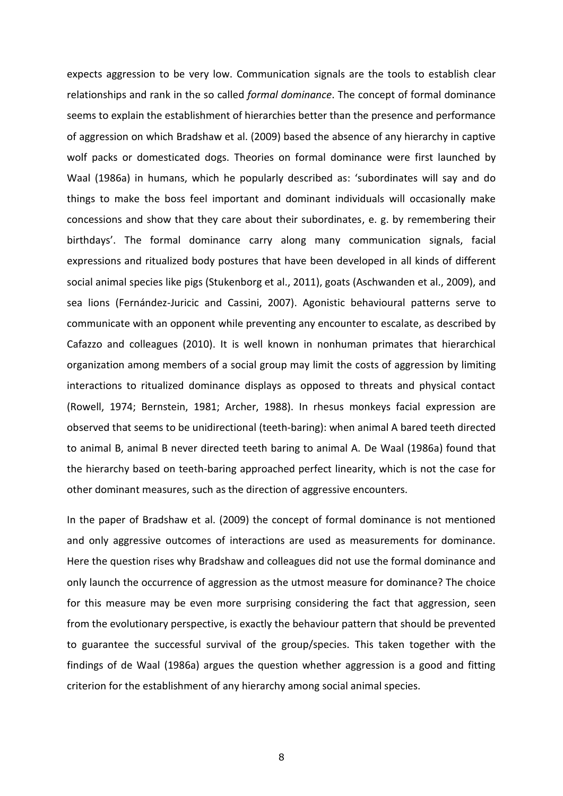expects aggression to be very low. Communication signals are the tools to establish clear relationships and rank in the so called *formal dominance*. The concept of formal dominance seems to explain the establishment of hierarchies better than the presence and performance of aggression on which Bradshaw et al. (2009) based the absence of any hierarchy in captive wolf packs or domesticated dogs. Theories on formal dominance were first launched by Waal (1986a) in humans, which he popularly described as: 'subordinates will say and do things to make the boss feel important and dominant individuals will occasionally make concessions and show that they care about their subordinates, e. g. by remembering their birthdays'. The formal dominance carry along many communication signals, facial expressions and ritualized body postures that have been developed in all kinds of different social animal species like pigs (Stukenborg et al., 2011), goats (Aschwanden et al., 2009), and sea lions (Fernández-Juricic and Cassini, 2007). Agonistic behavioural patterns serve to communicate with an opponent while preventing any encounter to escalate, as described by Cafazzo and colleagues (2010). It is well known in nonhuman primates that hierarchical organization among members of a social group may limit the costs of aggression by limiting interactions to ritualized dominance displays as opposed to threats and physical contact (Rowell, 1974; Bernstein, 1981; Archer, 1988). In rhesus monkeys facial expression are observed that seems to be unidirectional (teeth-baring): when animal A bared teeth directed to animal B, animal B never directed teeth baring to animal A. De Waal (1986a) found that the hierarchy based on teeth-baring approached perfect linearity, which is not the case for other dominant measures, such as the direction of aggressive encounters.

In the paper of Bradshaw et al. (2009) the concept of formal dominance is not mentioned and only aggressive outcomes of interactions are used as measurements for dominance. Here the question rises why Bradshaw and colleagues did not use the formal dominance and only launch the occurrence of aggression as the utmost measure for dominance? The choice for this measure may be even more surprising considering the fact that aggression, seen from the evolutionary perspective, is exactly the behaviour pattern that should be prevented to guarantee the successful survival of the group/species. This taken together with the findings of de Waal (1986a) argues the question whether aggression is a good and fitting criterion for the establishment of any hierarchy among social animal species.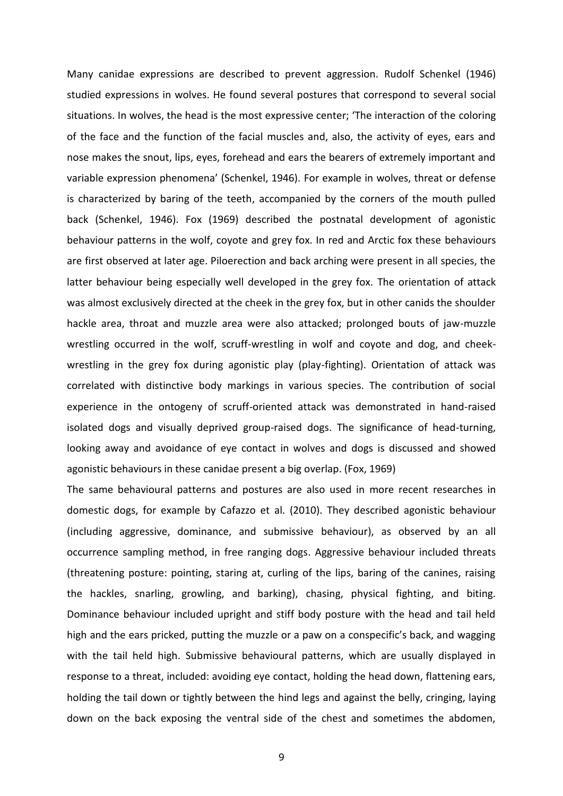Many canidae expressions are described to prevent aggression. Rudolf Schenkel (1946) studied expressions in wolves. He found several postures that correspond to several social situations. In wolves, the head is the most expressive center; 'The interaction of the coloring of the face and the function of the facial muscles and, also, the activity of eyes, ears and nose makes the snout, lips, eyes, forehead and ears the bearers of extremely important and variable expression phenomena' (Schenkel, 1946). For example in wolves, threat or defense is characterized by baring of the teeth, accompanied by the corners of the mouth pulled back (Schenkel, 1946). Fox (1969) described the postnatal development of agonistic behaviour patterns in the wolf, coyote and grey fox. In red and Arctic fox these behaviours are first observed at later age. Piloerection and back arching were present in all species, the latter behaviour being especially well developed in the grey fox. The orientation of attack was almost exclusively directed at the cheek in the grey fox, but in other canids the shoulder hackle area, throat and muzzle area were also attacked; prolonged bouts of jaw-muzzle wrestling occurred in the wolf, scruff-wrestling in wolf and coyote and dog, and cheekwrestling in the grey fox during agonistic play (play-fighting). Orientation of attack was correlated with distinctive body markings in various species. The contribution of social experience in the ontogeny of scruff-oriented attack was demonstrated in hand-raised isolated dogs and visually deprived group-raised dogs. The significance of head-turning, looking away and avoidance of eye contact in wolves and dogs is discussed and showed agonistic behaviours in these canidae present a big overlap. (Fox, 1969)

The same behavioural patterns and postures are also used in more recent researches in domestic dogs, for example by Cafazzo et al. (2010). They described agonistic behaviour (including aggressive, dominance, and submissive behaviour), as observed by an all occurrence sampling method, in free ranging dogs. Aggressive behaviour included threats (threatening posture: pointing, staring at, curling of the lips, baring of the canines, raising the hackles, snarling, growling, and barking), chasing, physical fighting, and biting. Dominance behaviour included upright and stiff body posture with the head and tail held high and the ears pricked, putting the muzzle or a paw on a conspecific's back, and wagging with the tail held high. Submissive behavioural patterns, which are usually displayed in response to a threat, included: avoiding eye contact, holding the head down, flattening ears, holding the tail down or tightly between the hind legs and against the belly, cringing, laying down on the back exposing the ventral side of the chest and sometimes the abdomen,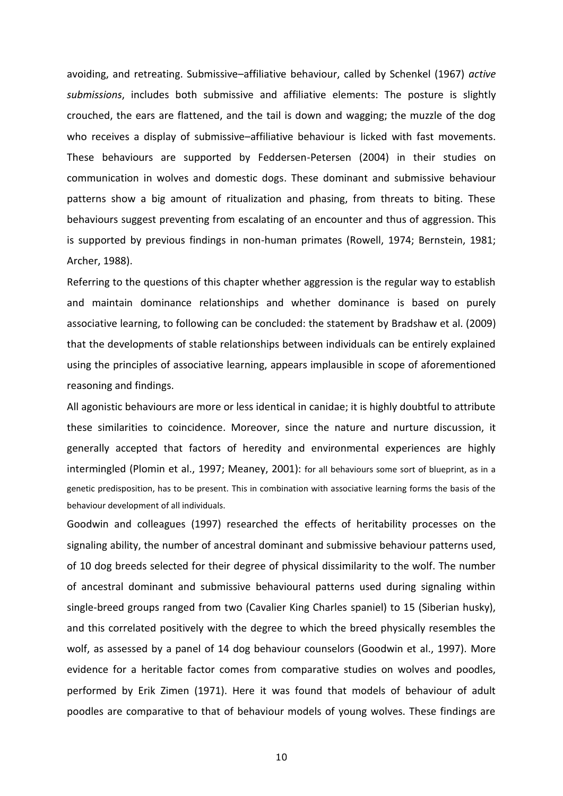avoiding, and retreating. Submissive–affiliative behaviour, called by Schenkel (1967) *active submissions*, includes both submissive and affiliative elements: The posture is slightly crouched, the ears are flattened, and the tail is down and wagging; the muzzle of the dog who receives a display of submissive–affiliative behaviour is licked with fast movements. These behaviours are supported by Feddersen-Petersen (2004) in their studies on communication in wolves and domestic dogs. These dominant and submissive behaviour patterns show a big amount of ritualization and phasing, from threats to biting. These behaviours suggest preventing from escalating of an encounter and thus of aggression. This is supported by previous findings in non-human primates (Rowell, 1974; Bernstein, 1981; Archer, 1988).

Referring to the questions of this chapter whether aggression is the regular way to establish and maintain dominance relationships and whether dominance is based on purely associative learning, to following can be concluded: the statement by Bradshaw et al. (2009) that the developments of stable relationships between individuals can be entirely explained using the principles of associative learning, appears implausible in scope of aforementioned reasoning and findings.

All agonistic behaviours are more or less identical in canidae; it is highly doubtful to attribute these similarities to coincidence. Moreover, since the nature and nurture discussion, it generally accepted that factors of heredity and environmental experiences are highly intermingled (Plomin et al., 1997; Meaney, 2001): for all behaviours some sort of blueprint, as in a genetic predisposition, has to be present. This in combination with associative learning forms the basis of the behaviour development of all individuals.

Goodwin and colleagues (1997) researched the effects of heritability processes on the signaling ability, the number of ancestral dominant and submissive behaviour patterns used, of 10 dog breeds selected for their degree of physical dissimilarity to the wolf. The number of ancestral dominant and submissive behavioural patterns used during signaling within single-breed groups ranged from two (Cavalier King Charles spaniel) to 15 (Siberian husky), and this correlated positively with the degree to which the breed physically resembles the wolf, as assessed by a panel of 14 dog behaviour counselors (Goodwin et al., 1997). More evidence for a heritable factor comes from comparative studies on wolves and poodles, performed by Erik Zimen (1971). Here it was found that models of behaviour of adult poodles are comparative to that of behaviour models of young wolves. These findings are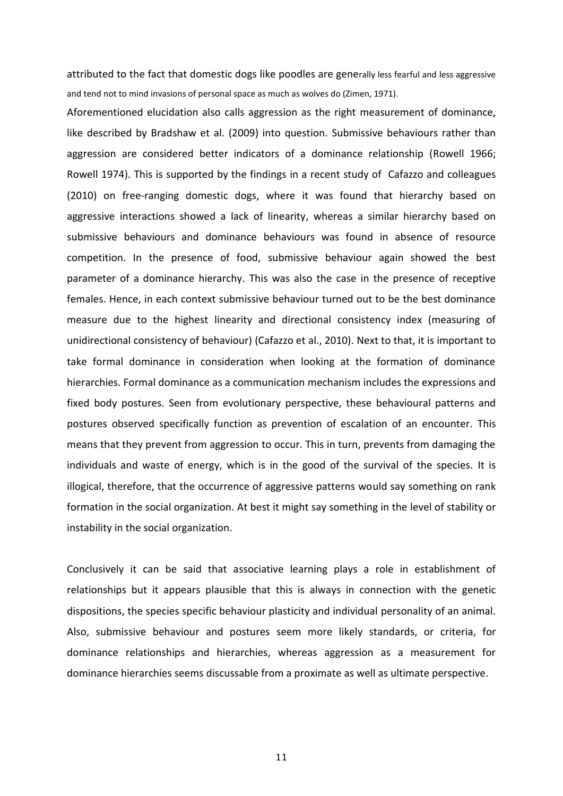attributed to the fact that domestic dogs like poodles are generally less fearful and less aggressive and tend not to mind invasions of personal space as much as wolves do (Zimen, 1971).

Aforementioned elucidation also calls aggression as the right measurement of dominance, like described by Bradshaw et al. (2009) into question. Submissive behaviours rather than aggression are considered better indicators of a dominance relationship (Rowell 1966; Rowell 1974). This is supported by the findings in a recent study of Cafazzo and colleagues (2010) on free-ranging domestic dogs, where it was found that hierarchy based on aggressive interactions showed a lack of linearity, whereas a similar hierarchy based on submissive behaviours and dominance behaviours was found in absence of resource competition. In the presence of food, submissive behaviour again showed the best parameter of a dominance hierarchy. This was also the case in the presence of receptive females. Hence, in each context submissive behaviour turned out to be the best dominance measure due to the highest linearity and directional consistency index (measuring of unidirectional consistency of behaviour) (Cafazzo et al., 2010). Next to that, it is important to take formal dominance in consideration when looking at the formation of dominance hierarchies. Formal dominance as a communication mechanism includes the expressions and fixed body postures. Seen from evolutionary perspective, these behavioural patterns and postures observed specifically function as prevention of escalation of an encounter. This means that they prevent from aggression to occur. This in turn, prevents from damaging the individuals and waste of energy, which is in the good of the survival of the species. It is illogical, therefore, that the occurrence of aggressive patterns would say something on rank formation in the social organization. At best it might say something in the level of stability or instability in the social organization.

Conclusively it can be said that associative learning plays a role in establishment of relationships but it appears plausible that this is always in connection with the genetic dispositions, the species specific behaviour plasticity and individual personality of an animal. Also, submissive behaviour and postures seem more likely standards, or criteria, for dominance relationships and hierarchies, whereas aggression as a measurement for dominance hierarchies seems discussable from a proximate as well as ultimate perspective.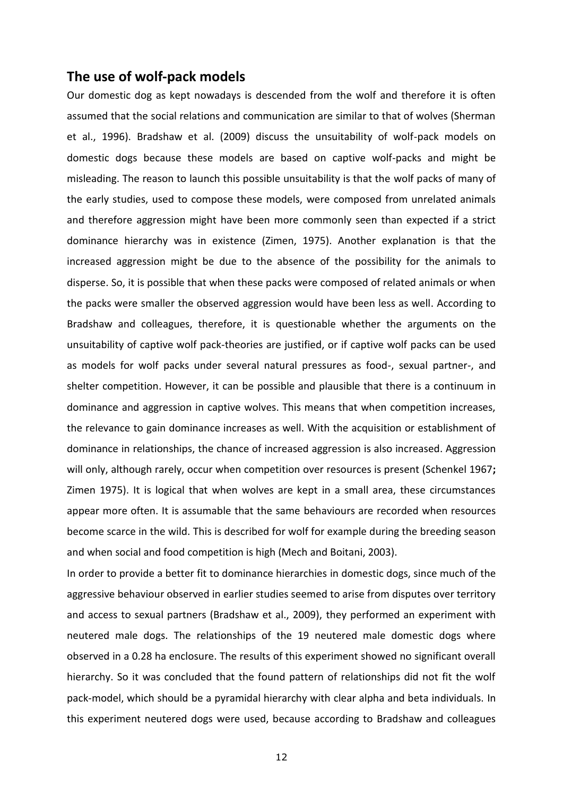## <span id="page-12-0"></span>**The use of wolf-pack models**

Our domestic dog as kept nowadays is descended from the wolf and therefore it is often assumed that the social relations and communication are similar to that of wolves (Sherman et al., 1996). Bradshaw et al. (2009) discuss the unsuitability of wolf-pack models on domestic dogs because these models are based on captive wolf-packs and might be misleading. The reason to launch this possible unsuitability is that the wolf packs of many of the early studies, used to compose these models, were composed from unrelated animals and therefore aggression might have been more commonly seen than expected if a strict dominance hierarchy was in existence (Zimen, 1975). Another explanation is that the increased aggression might be due to the absence of the possibility for the animals to disperse. So, it is possible that when these packs were composed of related animals or when the packs were smaller the observed aggression would have been less as well. According to Bradshaw and colleagues, therefore, it is questionable whether the arguments on the unsuitability of captive wolf pack-theories are justified, or if captive wolf packs can be used as models for wolf packs under several natural pressures as food-, sexual partner-, and shelter competition. However, it can be possible and plausible that there is a continuum in dominance and aggression in captive wolves. This means that when competition increases, the relevance to gain dominance increases as well. With the acquisition or establishment of dominance in relationships, the chance of increased aggression is also increased. Aggression will only, although rarely, occur when competition over resources is present (Schenkel 1967**;**  Zimen 1975). It is logical that when wolves are kept in a small area, these circumstances appear more often. It is assumable that the same behaviours are recorded when resources become scarce in the wild. This is described for wolf for example during the breeding season and when social and food competition is high (Mech and Boitani, 2003).

In order to provide a better fit to dominance hierarchies in domestic dogs, since much of the aggressive behaviour observed in earlier studies seemed to arise from disputes over territory and access to sexual partners (Bradshaw et al., 2009), they performed an experiment with neutered male dogs. The relationships of the 19 neutered male domestic dogs where observed in a 0.28 ha enclosure. The results of this experiment showed no significant overall hierarchy. So it was concluded that the found pattern of relationships did not fit the wolf pack-model, which should be a pyramidal hierarchy with clear alpha and beta individuals. In this experiment neutered dogs were used, because according to Bradshaw and colleagues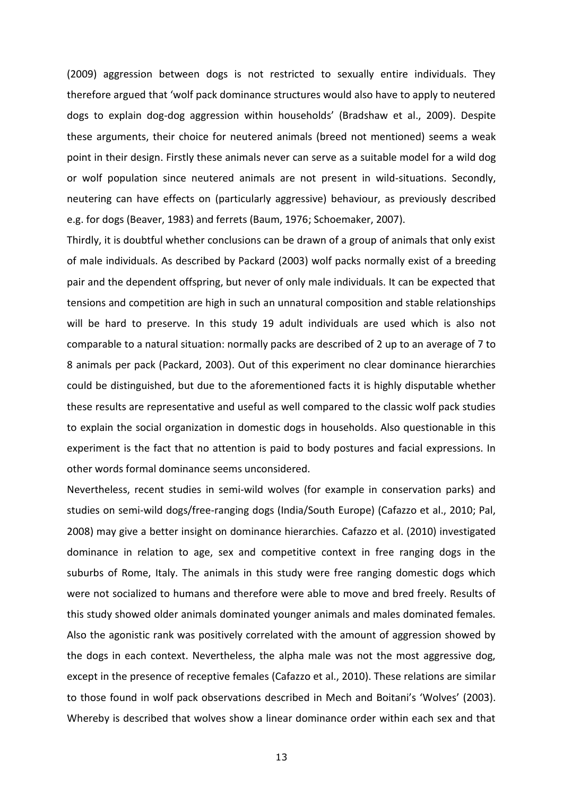(2009) aggression between dogs is not restricted to sexually entire individuals. They therefore argued that 'wolf pack dominance structures would also have to apply to neutered dogs to explain dog-dog aggression within households' (Bradshaw et al., 2009). Despite these arguments, their choice for neutered animals (breed not mentioned) seems a weak point in their design. Firstly these animals never can serve as a suitable model for a wild dog or wolf population since neutered animals are not present in wild-situations. Secondly, neutering can have effects on (particularly aggressive) behaviour, as previously described e.g. for dogs (Beaver, 1983) and ferrets (Baum, 1976; Schoemaker, 2007).

Thirdly, it is doubtful whether conclusions can be drawn of a group of animals that only exist of male individuals. As described by Packard (2003) wolf packs normally exist of a breeding pair and the dependent offspring, but never of only male individuals. It can be expected that tensions and competition are high in such an unnatural composition and stable relationships will be hard to preserve. In this study 19 adult individuals are used which is also not comparable to a natural situation: normally packs are described of 2 up to an average of 7 to 8 animals per pack (Packard, 2003). Out of this experiment no clear dominance hierarchies could be distinguished, but due to the aforementioned facts it is highly disputable whether these results are representative and useful as well compared to the classic wolf pack studies to explain the social organization in domestic dogs in households. Also questionable in this experiment is the fact that no attention is paid to body postures and facial expressions. In other words formal dominance seems unconsidered.

Nevertheless, recent studies in semi-wild wolves (for example in conservation parks) and studies on semi-wild dogs/free-ranging dogs (India/South Europe) (Cafazzo et al., 2010; Pal, 2008) may give a better insight on dominance hierarchies. Cafazzo et al. (2010) investigated dominance in relation to age, sex and competitive context in free ranging dogs in the suburbs of Rome, Italy. The animals in this study were free ranging domestic dogs which were not socialized to humans and therefore were able to move and bred freely. Results of this study showed older animals dominated younger animals and males dominated females. Also the agonistic rank was positively correlated with the amount of aggression showed by the dogs in each context. Nevertheless, the alpha male was not the most aggressive dog, except in the presence of receptive females (Cafazzo et al., 2010). These relations are similar to those found in wolf pack observations described in Mech and Boitani's 'Wolves' (2003). Whereby is described that wolves show a linear dominance order within each sex and that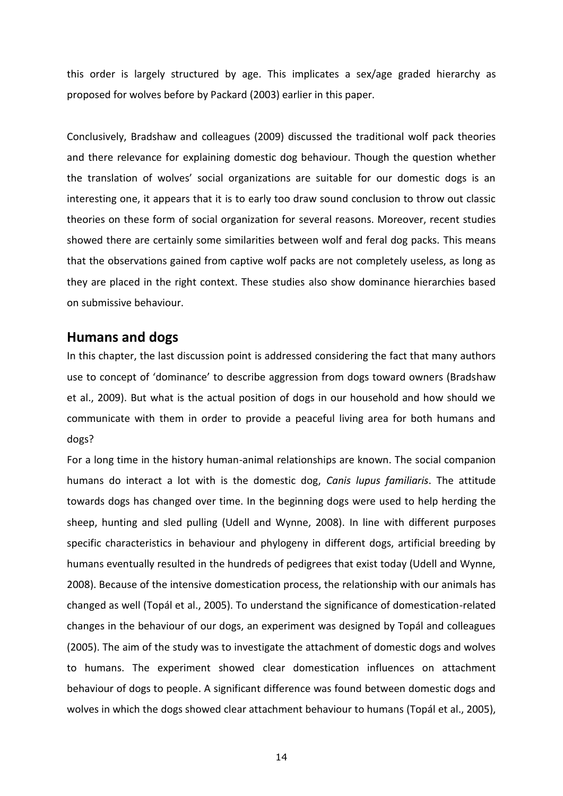this order is largely structured by age. This implicates a sex/age graded hierarchy as proposed for wolves before by Packard (2003) earlier in this paper.

Conclusively, Bradshaw and colleagues (2009) discussed the traditional wolf pack theories and there relevance for explaining domestic dog behaviour. Though the question whether the translation of wolves' social organizations are suitable for our domestic dogs is an interesting one, it appears that it is to early too draw sound conclusion to throw out classic theories on these form of social organization for several reasons. Moreover, recent studies showed there are certainly some similarities between wolf and feral dog packs. This means that the observations gained from captive wolf packs are not completely useless, as long as they are placed in the right context. These studies also show dominance hierarchies based on submissive behaviour.

## <span id="page-14-0"></span>**Humans and dogs**

In this chapter, the last discussion point is addressed considering the fact that many authors use to concept of 'dominance' to describe aggression from dogs toward owners (Bradshaw et al., 2009). But what is the actual position of dogs in our household and how should we communicate with them in order to provide a peaceful living area for both humans and dogs?

For a long time in the history human-animal relationships are known. The social companion humans do interact a lot with is the domestic dog, *Canis lupus familiaris*. The attitude towards dogs has changed over time. In the beginning dogs were used to help herding the sheep, hunting and sled pulling (Udell and Wynne, 2008). In line with different purposes specific characteristics in behaviour and phylogeny in different dogs, artificial breeding by humans eventually resulted in the hundreds of pedigrees that exist today (Udell and Wynne, 2008). Because of the intensive domestication process, the relationship with our animals has changed as well (Topál et al., 2005). To understand the significance of domestication-related changes in the behaviour of our dogs, an experiment was designed by Topál and colleagues (2005). The aim of the study was to investigate the attachment of domestic dogs and wolves to humans. The experiment showed clear domestication influences on attachment behaviour of dogs to people. A significant difference was found between domestic dogs and wolves in which the dogs showed clear attachment behaviour to humans (Topál et al., 2005),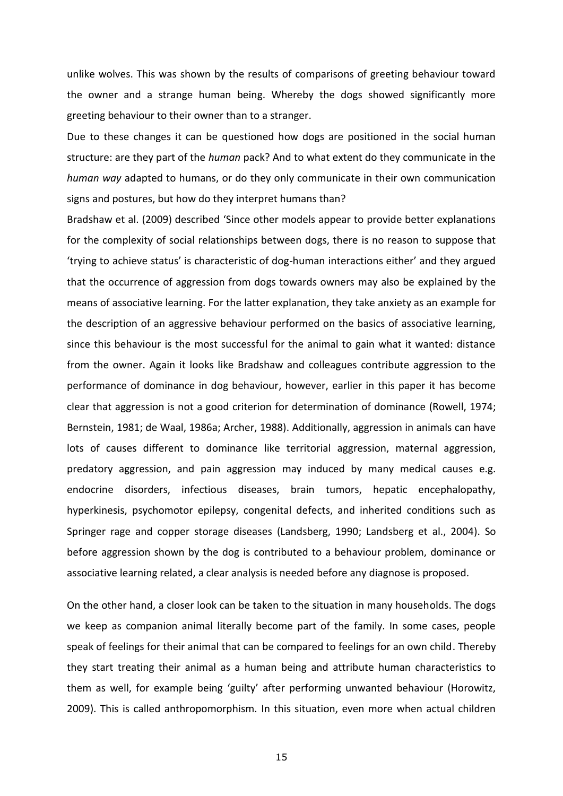unlike wolves. This was shown by the results of comparisons of greeting behaviour toward the owner and a strange human being. Whereby the dogs showed significantly more greeting behaviour to their owner than to a stranger.

Due to these changes it can be questioned how dogs are positioned in the social human structure: are they part of the *human* pack? And to what extent do they communicate in the *human way* adapted to humans, or do they only communicate in their own communication signs and postures, but how do they interpret humans than?

Bradshaw et al. (2009) described 'Since other models appear to provide better explanations for the complexity of social relationships between dogs, there is no reason to suppose that 'trying to achieve status' is characteristic of dog-human interactions either' and they argued that the occurrence of aggression from dogs towards owners may also be explained by the means of associative learning. For the latter explanation, they take anxiety as an example for the description of an aggressive behaviour performed on the basics of associative learning, since this behaviour is the most successful for the animal to gain what it wanted: distance from the owner. Again it looks like Bradshaw and colleagues contribute aggression to the performance of dominance in dog behaviour, however, earlier in this paper it has become clear that aggression is not a good criterion for determination of dominance (Rowell, 1974; Bernstein, 1981; de Waal, 1986a; Archer, 1988). Additionally, aggression in animals can have lots of causes different to dominance like territorial aggression, maternal aggression, predatory aggression, and pain aggression may induced by many medical causes e.g. endocrine disorders, infectious diseases, brain tumors, hepatic encephalopathy, hyperkinesis, psychomotor epilepsy, congenital defects, and inherited conditions such as Springer rage and copper storage diseases (Landsberg, 1990; Landsberg et al., 2004). So before aggression shown by the dog is contributed to a behaviour problem, dominance or associative learning related, a clear analysis is needed before any diagnose is proposed.

On the other hand, a closer look can be taken to the situation in many households. The dogs we keep as companion animal literally become part of the family. In some cases, people speak of feelings for their animal that can be compared to feelings for an own child. Thereby they start treating their animal as a human being and attribute human characteristics to them as well, for example being 'guilty' after performing unwanted behaviour (Horowitz, 2009). This is called anthropomorphism. In this situation, even more when actual children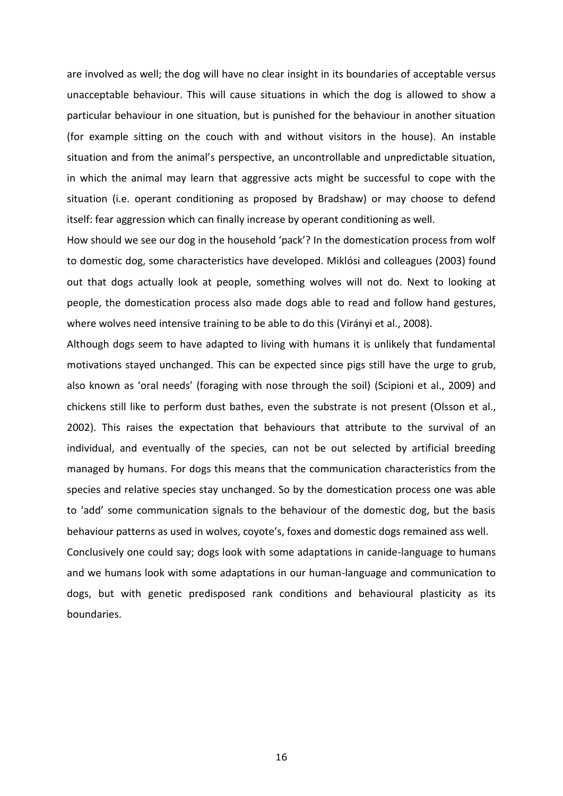are involved as well; the dog will have no clear insight in its boundaries of acceptable versus unacceptable behaviour. This will cause situations in which the dog is allowed to show a particular behaviour in one situation, but is punished for the behaviour in another situation (for example sitting on the couch with and without visitors in the house). An instable situation and from the animal's perspective, an uncontrollable and unpredictable situation, in which the animal may learn that aggressive acts might be successful to cope with the situation (i.e. operant conditioning as proposed by Bradshaw) or may choose to defend itself: fear aggression which can finally increase by operant conditioning as well.

How should we see our dog in the household 'pack'? In the domestication process from wolf to domestic dog, some characteristics have developed. Miklósi and colleagues (2003) found out that dogs actually look at people, something wolves will not do. Next to looking at people, the domestication process also made dogs able to read and follow hand gestures, where wolves need intensive training to be able to do this (Virányi et al., 2008).

Although dogs seem to have adapted to living with humans it is unlikely that fundamental motivations stayed unchanged. This can be expected since pigs still have the urge to grub, also known as 'oral needs' (foraging with nose through the soil) (Scipioni et al., 2009) and chickens still like to perform dust bathes, even the substrate is not present (Olsson et al., 2002). This raises the expectation that behaviours that attribute to the survival of an individual, and eventually of the species, can not be out selected by artificial breeding managed by humans. For dogs this means that the communication characteristics from the species and relative species stay unchanged. So by the domestication process one was able to 'add' some communication signals to the behaviour of the domestic dog, but the basis behaviour patterns as used in wolves, coyote's, foxes and domestic dogs remained ass well. Conclusively one could say; dogs look with some adaptations in canide-language to humans and we humans look with some adaptations in our human-language and communication to

dogs, but with genetic predisposed rank conditions and behavioural plasticity as its boundaries.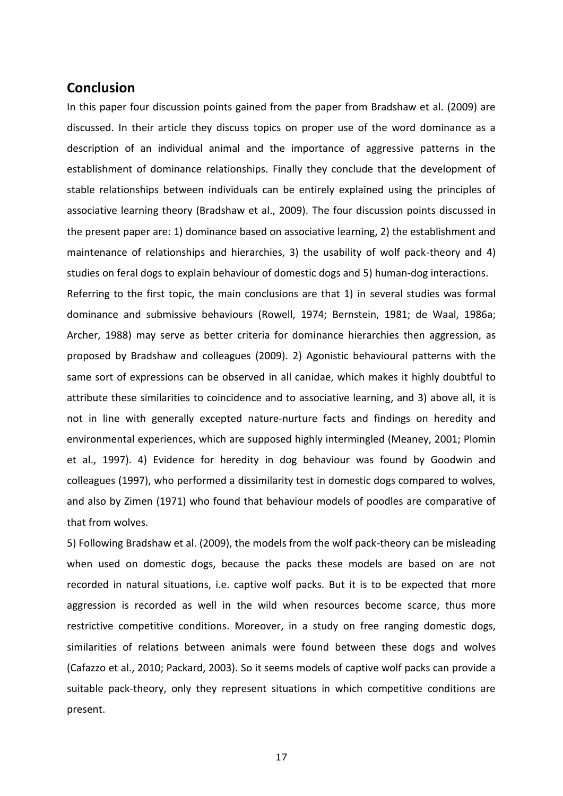## <span id="page-17-0"></span>**Conclusion**

In this paper four discussion points gained from the paper from Bradshaw et al. (2009) are discussed. In their article they discuss topics on proper use of the word dominance as a description of an individual animal and the importance of aggressive patterns in the establishment of dominance relationships. Finally they conclude that the development of stable relationships between individuals can be entirely explained using the principles of associative learning theory (Bradshaw et al., 2009). The four discussion points discussed in the present paper are: 1) dominance based on associative learning, 2) the establishment and maintenance of relationships and hierarchies, 3) the usability of wolf pack-theory and 4) studies on feral dogs to explain behaviour of domestic dogs and 5) human-dog interactions.

Referring to the first topic, the main conclusions are that 1) in several studies was formal dominance and submissive behaviours (Rowell, 1974; Bernstein, 1981; de Waal, 1986a; Archer, 1988) may serve as better criteria for dominance hierarchies then aggression, as proposed by Bradshaw and colleagues (2009). 2) Agonistic behavioural patterns with the same sort of expressions can be observed in all canidae, which makes it highly doubtful to attribute these similarities to coincidence and to associative learning, and 3) above all, it is not in line with generally excepted nature-nurture facts and findings on heredity and environmental experiences, which are supposed highly intermingled (Meaney, 2001; Plomin et al., 1997). 4) Evidence for heredity in dog behaviour was found by Goodwin and colleagues (1997), who performed a dissimilarity test in domestic dogs compared to wolves, and also by Zimen (1971) who found that behaviour models of poodles are comparative of that from wolves.

5) Following Bradshaw et al. (2009), the models from the wolf pack-theory can be misleading when used on domestic dogs, because the packs these models are based on are not recorded in natural situations, i.e. captive wolf packs. But it is to be expected that more aggression is recorded as well in the wild when resources become scarce, thus more restrictive competitive conditions. Moreover, in a study on free ranging domestic dogs, similarities of relations between animals were found between these dogs and wolves (Cafazzo et al., 2010; Packard, 2003). So it seems models of captive wolf packs can provide a suitable pack-theory, only they represent situations in which competitive conditions are present.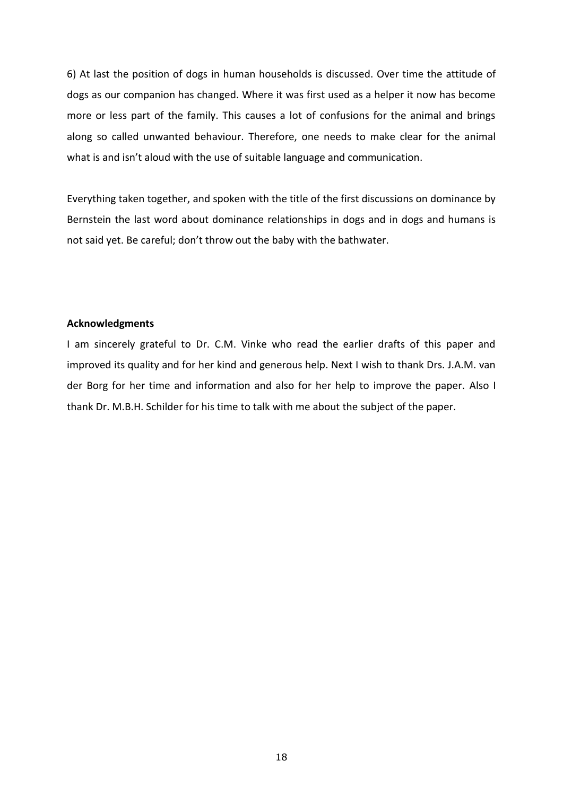6) At last the position of dogs in human households is discussed. Over time the attitude of dogs as our companion has changed. Where it was first used as a helper it now has become more or less part of the family. This causes a lot of confusions for the animal and brings along so called unwanted behaviour. Therefore, one needs to make clear for the animal what is and isn't aloud with the use of suitable language and communication.

Everything taken together, and spoken with the title of the first discussions on dominance by Bernstein the last word about dominance relationships in dogs and in dogs and humans is not said yet. Be careful; don't throw out the baby with the bathwater.

#### **Acknowledgments**

I am sincerely grateful to Dr. C.M. Vinke who read the earlier drafts of this paper and improved its quality and for her kind and generous help. Next I wish to thank Drs. J.A.M. van der Borg for her time and information and also for her help to improve the paper. Also I thank Dr. M.B.H. Schilder for his time to talk with me about the subject of the paper.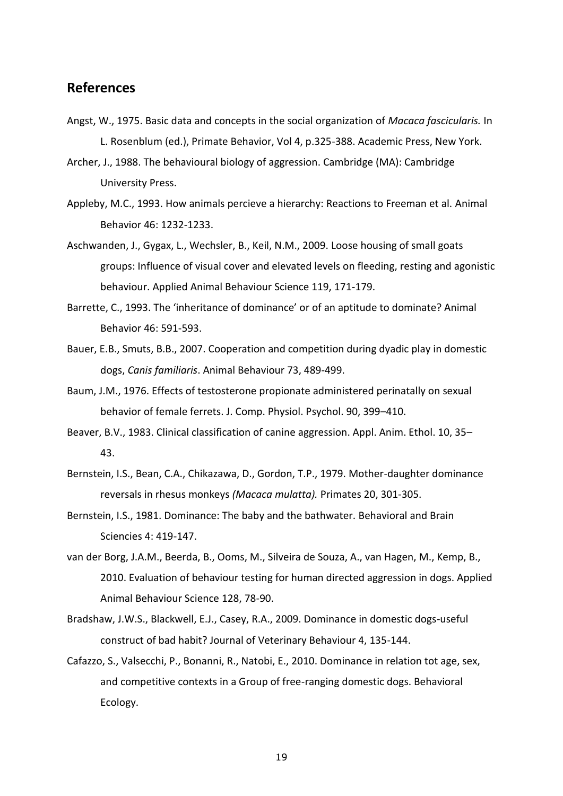## <span id="page-19-0"></span>**References**

- Angst, W., 1975. Basic data and concepts in the social organization of *Macaca fascicularis.* In L. Rosenblum (ed.), Primate Behavior, Vol 4, p.325-388. Academic Press, New York.
- Archer, J., 1988. The behavioural biology of aggression. Cambridge (MA): Cambridge University Press.
- Appleby, M.C., 1993. How animals percieve a hierarchy: Reactions to Freeman et al. Animal Behavior 46: 1232-1233.
- Aschwanden, J., Gygax, L., Wechsler, B., Keil, N.M., 2009. Loose housing of small goats groups: Influence of visual cover and elevated levels on fleeding, resting and agonistic behaviour. Applied Animal Behaviour Science 119, 171-179.
- Barrette, C., 1993. The 'inheritance of dominance' or of an aptitude to dominate? Animal Behavior 46: 591-593.
- Bauer, E.B., Smuts, B.B., 2007. Cooperation and competition during dyadic play in domestic dogs, *Canis familiaris*. Animal Behaviour 73, 489-499.
- Baum, J.M., 1976. Effects of testosterone propionate administered perinatally on sexual behavior of female ferrets. J. Comp. Physiol. Psychol. 90, 399–410.
- Beaver, B.V., 1983. Clinical classification of canine aggression. Appl. Anim. Ethol. 10, 35– 43.
- Bernstein, I.S., Bean, C.A., Chikazawa, D., Gordon, T.P., 1979. Mother-daughter dominance reversals in rhesus monkeys *(Macaca mulatta).* Primates 20, 301-305.
- Bernstein, I.S., 1981. Dominance: The baby and the bathwater. Behavioral and Brain Sciencies 4: 419-147.
- van der Borg, J.A.M., Beerda, B., Ooms, M., Silveira de Souza, A., van Hagen, M., Kemp, B., 2010. Evaluation of behaviour testing for human directed aggression in dogs. Applied Animal Behaviour Science 128, 78-90.
- Bradshaw, J.W.S., Blackwell, E.J., Casey, R.A., 2009. Dominance in domestic dogs-useful construct of bad habit? Journal of Veterinary Behaviour 4, 135-144.
- Cafazzo, S., Valsecchi, P., Bonanni, R., Natobi, E., 2010. Dominance in relation tot age, sex, and competitive contexts in a Group of free-ranging domestic dogs. Behavioral Ecology.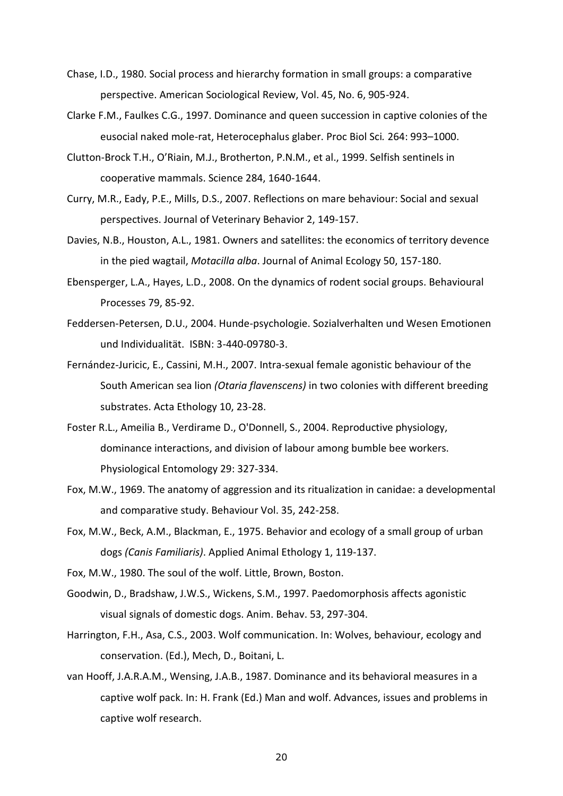- Chase, I.D., 1980. Social process and hierarchy formation in small groups: a comparative perspective. American Sociological Review, Vol. 45, No. 6, 905-924.
- Clarke F.M., Faulkes C.G., 1997. Dominance and queen succession in captive colonies of the eusocial naked mole-rat, Heterocephalus glaber. Proc Biol Sci*.* 264: 993–1000.
- Clutton-Brock T.H., O'Riain, M.J., Brotherton, P.N.M., et al., 1999. Selfish sentinels in cooperative mammals. Science 284, 1640-1644.
- Curry, M.R., Eady, P.E., Mills, D.S., 2007. Reflections on mare behaviour: Social and sexual perspectives. Journal of Veterinary Behavior 2, 149-157.
- Davies, N.B., Houston, A.L., 1981. Owners and satellites: the economics of territory devence in the pied wagtail, *Motacilla alba*. Journal of Animal Ecology 50, 157-180.
- Ebensperger, L.A., Hayes, L.D., 2008. On the dynamics of rodent social groups. Behavioural Processes 79, 85-92.
- Feddersen-Petersen, D.U., 2004. Hunde-psychologie. Sozialverhalten und Wesen Emotionen und Individualität. ISBN: 3-440-09780-3.
- Fernández-Juricic, E., Cassini, M.H., 2007. Intra-sexual female agonistic behaviour of the South American sea lion *(Otaria flavenscens)* in two colonies with different breeding substrates. Acta Ethology 10, 23-28.
- Foster R.L., Ameilia B., Verdirame D., O'Donnell, S., 2004. Reproductive physiology, dominance interactions, and division of labour among bumble bee workers. Physiological Entomology 29: 327-334.
- Fox, M.W., 1969. The anatomy of aggression and its ritualization in canidae: a developmental and comparative study. Behaviour Vol. 35, 242-258.
- Fox, M.W., Beck, A.M., Blackman, E., 1975. Behavior and ecology of a small group of urban dogs *(Canis Familiaris)*. Applied Animal Ethology 1, 119-137.
- Fox, M.W., 1980. The soul of the wolf. Little, Brown, Boston.
- Goodwin, D., Bradshaw, J.W.S., Wickens, S.M., 1997. Paedomorphosis affects agonistic visual signals of domestic dogs. Anim. Behav. 53, 297-304.
- Harrington, F.H., Asa, C.S., 2003. Wolf communication. In: Wolves, behaviour, ecology and conservation. (Ed.), Mech, D., Boitani, L.
- van Hooff, J.A.R.A.M., Wensing, J.A.B., 1987. Dominance and its behavioral measures in a captive wolf pack. In: H. Frank (Ed.) Man and wolf. Advances, issues and problems in captive wolf research.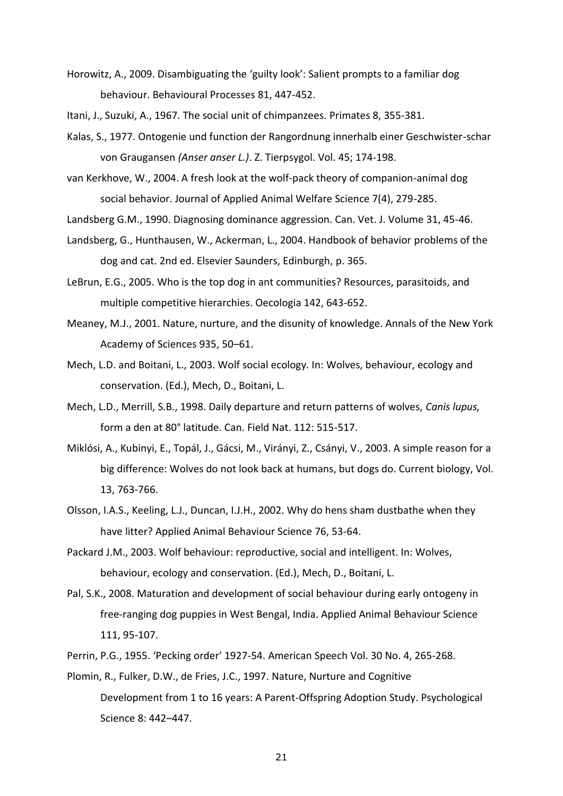Horowitz, A., 2009. Disambiguating the 'guilty look': Salient prompts to a familiar dog behaviour. Behavioural Processes 81, 447-452.

Itani, J., Suzuki, A., 1967. The social unit of chimpanzees. Primates 8, 355-381.

- Kalas, S., 1977. Ontogenie und function der Rangordnung innerhalb einer Geschwister-schar von Graugansen *(Anser anser L.)*. Z. Tierpsygol. Vol. 45; 174-198.
- van Kerkhove, W., 2004. A fresh look at the wolf-pack theory of companion-animal dog social behavior. Journal of Applied Animal Welfare Science 7(4), 279-285.
- Landsberg G.M., 1990. Diagnosing dominance aggression. Can. Vet. J. Volume 31, 45-46.
- Landsberg, G., Hunthausen, W., Ackerman, L., 2004. Handbook of behavior problems of the dog and cat. 2nd ed. Elsevier Saunders, Edinburgh, p. 365.
- LeBrun, E.G., 2005. Who is the top dog in ant communities? Resources, parasitoids, and multiple competitive hierarchies. Oecologia 142, 643-652.
- Meaney, M.J., 2001. Nature, nurture, and the disunity of knowledge. Annals of the New York Academy of Sciences 935, 50–61.
- Mech, L.D. and Boitani, L., 2003. Wolf social ecology. In: Wolves, behaviour, ecology and conservation. (Ed.), Mech, D., Boitani, L.
- Mech, L.D., Merrill, S.B., 1998. Daily departure and return patterns of wolves, *Canis lupus,*  form a den at 80° latitude. Can. Field Nat. 112: 515-517.
- Miklósi, A., Kubinyi, E., Topál, J., Gácsi, M., Virányi, Z., Csányi, V., 2003. A simple reason for a big difference: Wolves do not look back at humans, but dogs do. Current biology, Vol. 13, 763-766.
- Olsson, I.A.S., Keeling, L.J., Duncan, I.J.H., 2002. Why do hens sham dustbathe when they have litter? Applied Animal Behaviour Science 76, 53-64.
- Packard J.M., 2003. Wolf behaviour: reproductive, social and intelligent. In: Wolves, behaviour, ecology and conservation. (Ed.), Mech, D., Boitani, L.
- Pal, S.K., 2008. Maturation and development of social behaviour during early ontogeny in free-ranging dog puppies in West Bengal, India. Applied Animal Behaviour Science 111, 95-107.
- Perrin, P.G., 1955. 'Pecking order' 1927-54. American Speech Vol. 30 No. 4, 265-268.
- Plomin, R., Fulker, D.W., de Fries, J.C., 1997. Nature, Nurture and Cognitive Development from 1 to 16 years: A Parent-Offspring Adoption Study. Psychological Science 8: 442–447.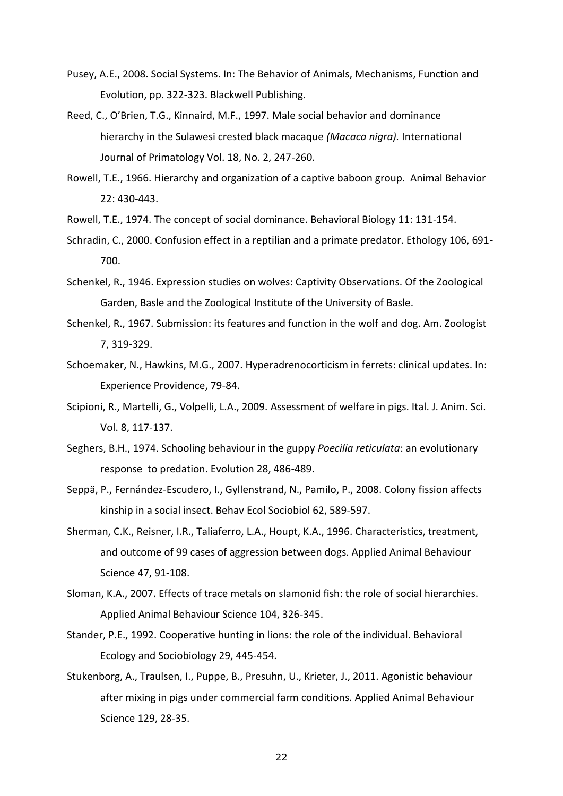- Pusey, A.E., 2008. Social Systems. In: The Behavior of Animals, Mechanisms, Function and Evolution, pp. 322-323. Blackwell Publishing.
- Reed, C., O'Brien, T.G., Kinnaird, M.F., 1997. Male social behavior and dominance hierarchy in the Sulawesi crested black macaque *(Macaca nigra).* International Journal of Primatology Vol. 18, No. 2, 247-260.
- Rowell, T.E., 1966. Hierarchy and organization of a captive baboon group. Animal Behavior 22: 430-443.
- Rowell, T.E., 1974. The concept of social dominance. Behavioral Biology 11: 131-154.
- Schradin, C., 2000. Confusion effect in a reptilian and a primate predator. Ethology 106, 691- 700.
- Schenkel, R., 1946. Expression studies on wolves: Captivity Observations. Of the Zoological Garden, Basle and the Zoological Institute of the University of Basle.
- Schenkel, R., 1967. Submission: its features and function in the wolf and dog. Am. Zoologist 7, 319-329.
- Schoemaker, N., Hawkins, M.G., 2007. Hyperadrenocorticism in ferrets: clinical updates. In: Experience Providence, 79-84.
- Scipioni, R., Martelli, G., Volpelli, L.A., 2009. Assessment of welfare in pigs. Ital. J. Anim. Sci. Vol. 8, 117-137.
- Seghers, B.H., 1974. Schooling behaviour in the guppy *Poecilia reticulata*: an evolutionary response to predation. Evolution 28, 486-489.
- Seppä, P., Fernández-Escudero, I., Gyllenstrand, N., Pamilo, P., 2008. Colony fission affects kinship in a social insect. Behav Ecol Sociobiol 62, 589-597.
- Sherman, C.K., Reisner, I.R., Taliaferro, L.A., Houpt, K.A., 1996. Characteristics, treatment, and outcome of 99 cases of aggression between dogs. Applied Animal Behaviour Science 47, 91-108.
- Sloman, K.A., 2007. Effects of trace metals on slamonid fish: the role of social hierarchies. Applied Animal Behaviour Science 104, 326-345.
- Stander, P.E., 1992. Cooperative hunting in lions: the role of the individual. Behavioral Ecology and Sociobiology 29, 445-454.
- Stukenborg, A., Traulsen, I., Puppe, B., Presuhn, U., Krieter, J., 2011. Agonistic behaviour after mixing in pigs under commercial farm conditions. Applied Animal Behaviour Science 129, 28-35.